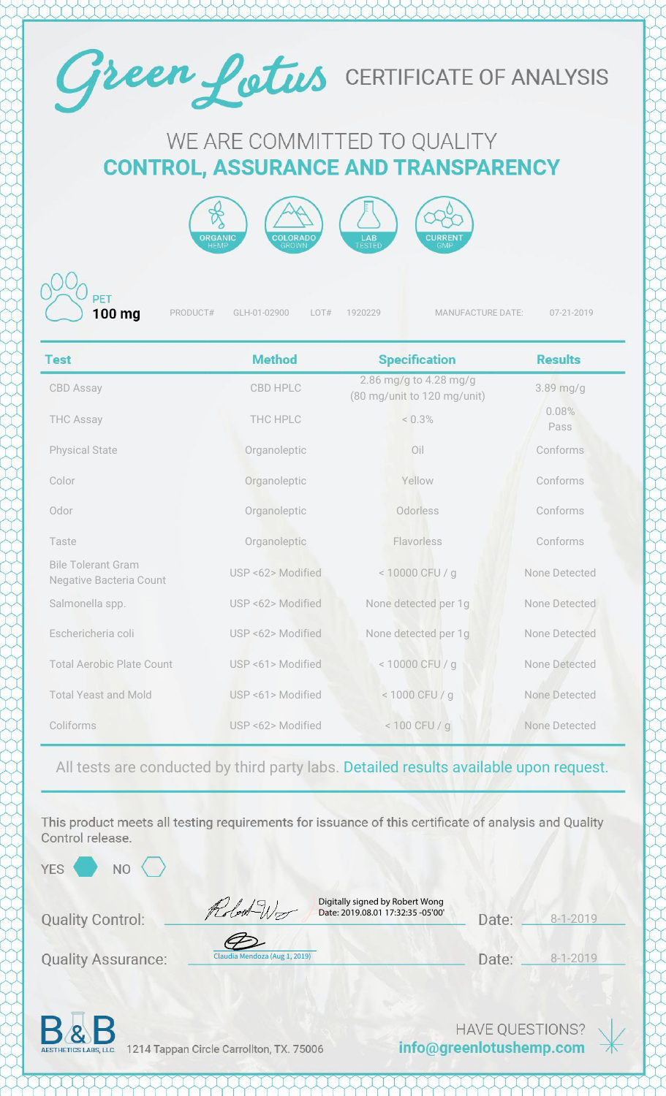

## WE ARE COMMITTED TO QUALITY **CONTROL, ASSURANCE AND TRANSPARENCY**





PRODUCT# GLH-01-02900 LOT# 1920229 MANUFACTURE DATE: 07-21-2019

| <b>Test</b>                                                 | <b>Method</b>     | <b>Specification</b>                                  | <b>Results</b> |
|-------------------------------------------------------------|-------------------|-------------------------------------------------------|----------------|
| <b>CBD Assay</b>                                            | <b>CBD HPLC</b>   | 2.86 mg/g to 4.28 mg/g<br>(80 mg/unit to 120 mg/unit) | 3.89 mg/g      |
| <b>THC Assay</b>                                            | THC HPLC          | $< 0.3\%$                                             | 0.08%<br>Pass  |
| <b>Physical State</b>                                       | Organoleptic      | Oil                                                   | Conforms       |
| Color                                                       | Organoleptic      | Yellow                                                | Conforms       |
| Odor                                                        | Organoleptic      | Odorless                                              | Conforms       |
| Taste                                                       | Organoleptic      | Flavorless                                            | Conforms       |
| <b>Bile Tolerant Gram</b><br><b>Negative Bacteria Count</b> | USP <62> Modified | < 10000 CFU / g                                       | None Detected  |
| Salmonella spp.                                             | USP <62> Modified | None detected per 1g                                  | None Detected  |
| Eschericheria coli                                          | USP <62> Modified | None detected per 1g                                  | None Detected  |
| <b>Total Aerobic Plate Count</b>                            | USP <61> Modified | < 10000 CFU / g                                       | None Detected  |
| <b>Total Yeast and Mold</b>                                 | USP <61> Modified | < 1000 CFU / g                                        | None Detected  |
| Coliforms                                                   | USP <62> Modified | < 100 CFU / g                                         | None Detected  |

All tests are conducted by third party labs. Detailed results available upon request.

This product meets all testing requirements for issuance of this certificate of analysis and Quality Control release.

YES<sup></sup>

NO.

Robert Wo

Digitally signed by Robert Wong Date: 2019.08.01 17:32:35 -05'00'

| Date: | $8 - 1 - 2019$ |
|-------|----------------|
|       |                |

**Quality Assurance:** 

**Quality Control:** 

| Claudia Mendoza (Aug 1, 2019) |
|-------------------------------|

8-1-2019 Date: \_\_



1214 Tappan Circle Carrollton, TX. 75006

**HAVE QUESTIONS?** info@greenlotushemp.com